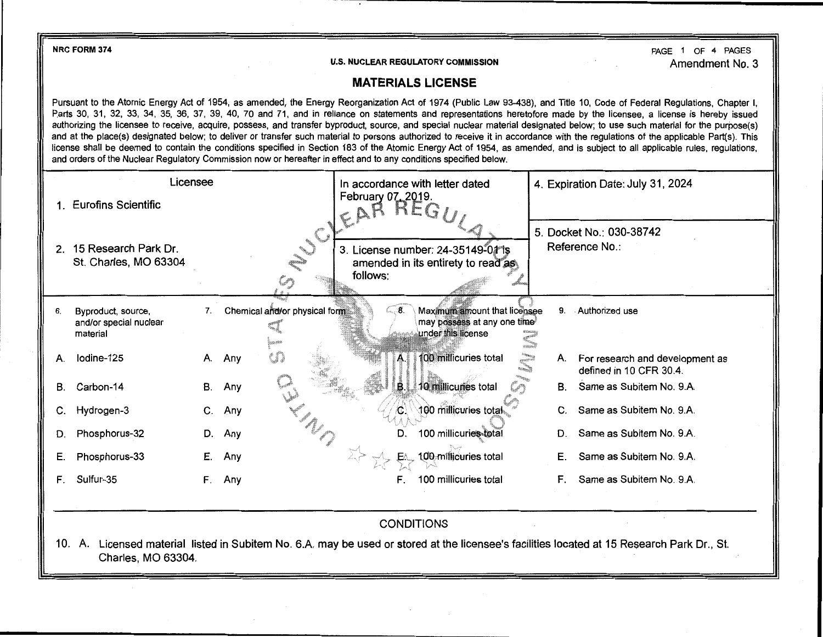NRC FORM 374

U.S. NUCLEAR REGULATORY COMMISSION

PAGE 1 OF 4 PAGES Amendment No. 3

## **MATERIALS LICENSE**

Pursuant to the Atomic Energy Act of 1954, as amended, the Energy Reorganization Act of 1974 (Public Law 93-438), and Title 10, Code of Federal Regulations, Chapter I, Parts 30, 31, 32, 33, 34, 35, 36, 37, 39, 40, 70 and 71, and in reliance on statements and representations heretofore made by the licensee, a license is hereby issued authorizing the licensee to receive, acquire, possess, and transfer byproduct, source, and special nuclear material designated below; to use such material for the purpose(s) and at the place(s) designated below; to deliver or transfer such material to persons authorized to receive it in accordance with the regulations of the applicable Part(s). This license shall be deemed to contain the conditions specified in Section 183 of the Atomic Energy Act of 1954, as amended, and is subject to all applicable rules, regulations, and orders of the Nuclear Regulatory Commission now or hereafter in effect and to any conditions specified below.

| Licensee       |                                                                                                                                                                                           |    |                               | In accordance with letter dated |                                                                                   | 4. Expiration Date: July 31, 2024                                                      |  |  |
|----------------|-------------------------------------------------------------------------------------------------------------------------------------------------------------------------------------------|----|-------------------------------|---------------------------------|-----------------------------------------------------------------------------------|----------------------------------------------------------------------------------------|--|--|
|                | 1. Eurofins Scientific                                                                                                                                                                    |    |                               | February 07, 2019.<br>CAR       | KEG                                                                               |                                                                                        |  |  |
| 2 <sub>1</sub> | 15 Research Park Dr.<br>St. Charles, MO 63304                                                                                                                                             |    |                               | follows:                        | 3. License number: 24-35149-01 is<br>amended in its entirety to read as           | 5. Docket No.: 030-38742<br>Reference No.:                                             |  |  |
| 6.             | Byproduct, source,<br>and/or special nuclear<br>material                                                                                                                                  | 7. | Chemical and/or physical form | ெ8                              | Maximum amount that licensee<br>may possess at any one time<br>under this license | Authorized use<br>9.                                                                   |  |  |
| А.             | lodine-125                                                                                                                                                                                |    | $\mathfrak{c}$<br>A. Any      | Α.                              | 100 millicuries total<br>$\rm{m_{\rm{max}}}$                                      | A. For research and development as<br><b>Classification</b><br>defined in 10 CFR 30.4. |  |  |
| В.             | Carbon-14                                                                                                                                                                                 |    | B. Any                        | B                               | 10 millicuries total                                                              | B. Same as Subitem No. 9.A.                                                            |  |  |
| C.             | Hydrogen-3                                                                                                                                                                                | C. | Any                           |                                 | 100 millicuries total                                                             | Same as Subitem No. 9.A.<br>$C_{\cdot}$                                                |  |  |
| D.             | Phosphorus-32                                                                                                                                                                             | D. | Any                           | D.                              | 100 millicuries-total                                                             | Same as Subitem No. 9.A.<br>D.                                                         |  |  |
| Е.             | Phosphorus-33                                                                                                                                                                             | Е. | Any                           |                                 | 100 millicuries total                                                             | Same as Subitem No. 9.A.<br>Е.                                                         |  |  |
| F.             | Sulfur-35                                                                                                                                                                                 | F. | Any                           | F.                              | 100 millicuries total                                                             | Same as Subitem No. 9.A.<br>F.                                                         |  |  |
|                | <b>CONDITIONS</b><br>Licensed material listed in Subitem No. 6.A. may be used or stored at the licensee's facilities located at 15 Research Park Dr., St.<br>10. A.<br>Charles, MO 63304. |    |                               |                                 |                                                                                   |                                                                                        |  |  |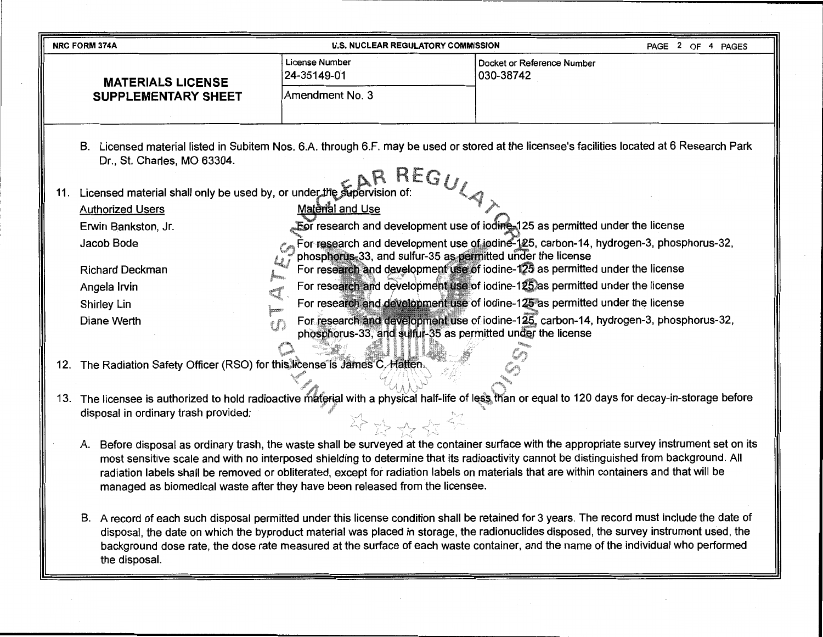|     | <b>NRC FORM 374A</b>                                                                                                                                                                                                                                                                                                                                                                                                                                                                                                                                                                                                                                                                                                                                                                                                                                                                                                                                              | <b>U.S. NUCLEAR REGULATORY COMMISSION</b>                                                                                                                                                                                                                                                                                                                                                                                                                                    |                                         | PAGE 2 OF 4 PAGES |  |  |
|-----|-------------------------------------------------------------------------------------------------------------------------------------------------------------------------------------------------------------------------------------------------------------------------------------------------------------------------------------------------------------------------------------------------------------------------------------------------------------------------------------------------------------------------------------------------------------------------------------------------------------------------------------------------------------------------------------------------------------------------------------------------------------------------------------------------------------------------------------------------------------------------------------------------------------------------------------------------------------------|------------------------------------------------------------------------------------------------------------------------------------------------------------------------------------------------------------------------------------------------------------------------------------------------------------------------------------------------------------------------------------------------------------------------------------------------------------------------------|-----------------------------------------|-------------------|--|--|
|     | <b>MATERIALS LICENSE</b>                                                                                                                                                                                                                                                                                                                                                                                                                                                                                                                                                                                                                                                                                                                                                                                                                                                                                                                                          | License Number<br>24-35149-01                                                                                                                                                                                                                                                                                                                                                                                                                                                | Docket or Reference Number<br>030-38742 |                   |  |  |
|     | <b>SUPPLEMENTARY SHEET</b>                                                                                                                                                                                                                                                                                                                                                                                                                                                                                                                                                                                                                                                                                                                                                                                                                                                                                                                                        | Amendment No. 3                                                                                                                                                                                                                                                                                                                                                                                                                                                              |                                         |                   |  |  |
| 11. | В.<br>Dr., St. Charles, MO 63304.<br>Licensed material shall only be used by, or under the supervision of:<br><b>Authorized Users</b><br>Erwin Bankston, Jr.<br>Jacob Bode                                                                                                                                                                                                                                                                                                                                                                                                                                                                                                                                                                                                                                                                                                                                                                                        | Licensed material listed in Subitem Nos. 6.A. through 6.F. may be used or stored at the licensee's facilities located at 6 Research Park<br>REGULAX<br><b>Material and Use</b><br>For research and development use of iodine 125 as permitted under the license<br>For research and development use of iodine-125, carbon-14, hydrogen-3, phosphorus-32,                                                                                                                     |                                         |                   |  |  |
|     | <b>Richard Deckman</b><br>Angela Irvin<br>Shirley Lin<br>Diane Werth                                                                                                                                                                                                                                                                                                                                                                                                                                                                                                                                                                                                                                                                                                                                                                                                                                                                                              | phosphorus-33, and sulfur-35 as permitted under the license<br>For research and development use of iodine-125 as permitted under the license<br>For research and development use of iodine-125 as permitted under the license<br>For research and development use of iodine-125 as permitted under the license<br>For research and development use of iodine-125, carbon-14, hydrogen-3, phosphorus-32,<br>tĐ<br>phosphorus-33, and sulfur-35 as permitted under the license |                                         |                   |  |  |
|     | 12. The Radiation Safety Officer (RSO) for this license is James C. Hatten.                                                                                                                                                                                                                                                                                                                                                                                                                                                                                                                                                                                                                                                                                                                                                                                                                                                                                       |                                                                                                                                                                                                                                                                                                                                                                                                                                                                              |                                         |                   |  |  |
| 13. | The licensee is authorized to hold radioactive material with a physical half-life of less than or equal to 120 days for decay-in-storage before<br>disposal in ordinary trash provided:<br>举政安全学                                                                                                                                                                                                                                                                                                                                                                                                                                                                                                                                                                                                                                                                                                                                                                  |                                                                                                                                                                                                                                                                                                                                                                                                                                                                              |                                         |                   |  |  |
|     | Before disposal as ordinary trash, the waste shall be surveyed at the container surface with the appropriate survey instrument set on its<br>А.<br>most sensitive scale and with no interposed shielding to determine that its radioactivity cannot be distinguished from background. All<br>radiation labels shall be removed or obliterated, except for radiation labels on materials that are within containers and that will be<br>managed as biomedical waste after they have been released from the licensee.<br>B. A record of each such disposal permitted under this license condition shall be retained for 3 years. The record must include the date of<br>disposal, the date on which the byproduct material was placed in storage, the radionuclides disposed, the survey instrument used, the<br>background dose rate, the dose rate measured at the surface of each waste container, and the name of the individual who performed<br>the disposal. |                                                                                                                                                                                                                                                                                                                                                                                                                                                                              |                                         |                   |  |  |
|     |                                                                                                                                                                                                                                                                                                                                                                                                                                                                                                                                                                                                                                                                                                                                                                                                                                                                                                                                                                   |                                                                                                                                                                                                                                                                                                                                                                                                                                                                              |                                         |                   |  |  |

 $\mathcal{L}^{\mathcal{L}}(\mathcal{A})$  .

 $\mathcal{L}_{\mathcal{A}}$ 

--

 $\sim$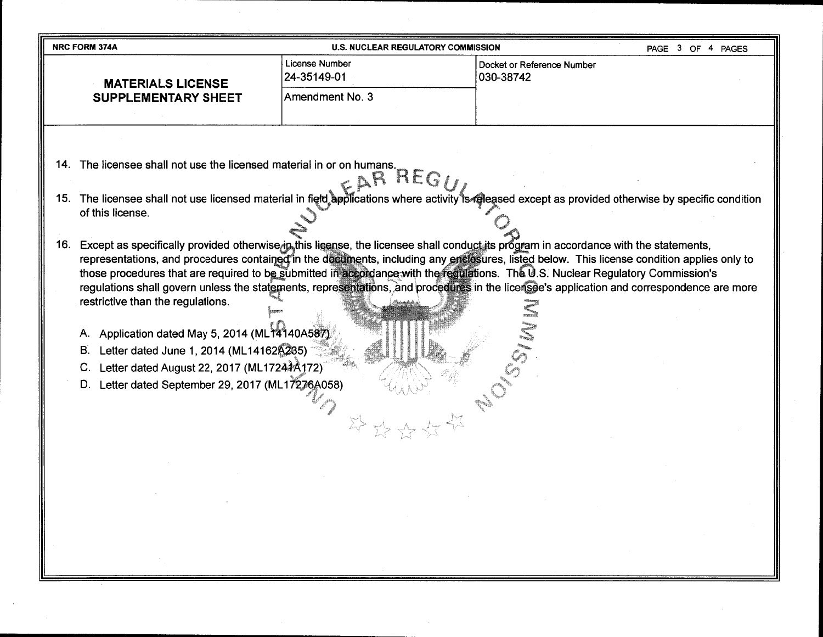| <b>NRC FORM 374A</b>                                                     | <b>U.S. NUCLEAR REGULATORY COMMISSION</b> | PAGE 3 OF 4 PAGES                       |  |
|--------------------------------------------------------------------------|-------------------------------------------|-----------------------------------------|--|
| <b>MATERIALS LICENSE</b>                                                 | License Number<br>24-35149-01             | Docket or Reference Number<br>030-38742 |  |
| <b>SUPPLEMENTARY SHEET</b>                                               | Amendment No. 3                           |                                         |  |
|                                                                          |                                           |                                         |  |
| The licensee shall not use the licensed material in or on humans.<br>14. |                                           |                                         |  |

- 15. The licensee shall not use licensed material in field applications where activity is released except as provided otherwise by specific condition of this license.<br>of this license.
- 16. Except as specifically provided otherwise in this license, the licensee shall conduct its program in accordance with the statements, representations, and procedures contained in the documents, including any enclosures, listed below. This license condition applies only to those procedures that are required to b<u>e s</u>ubmitted in accordance with the regulations. The U.S. Nuclear Regulatory Commission's regulations shall govern unless the statements, representations, and procedures in the licersee's application and correspondence are more restrictive than the regulations.

'I

- A. Application dated May 5, 2014 (ML14140A587)
- B. Letter dated June 1, 2014 (ML14162A235)
- C. Letter dated August 22, 2017 (ML17244A172)
- D. Letter dated September 29, 2017 (ML17276A058)